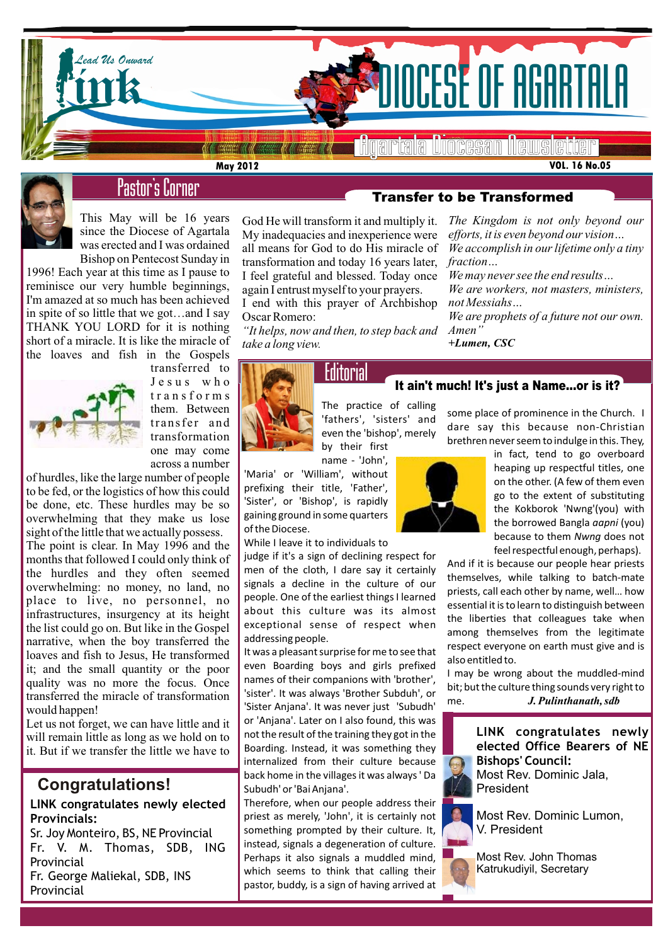

**VOL. 16 No.05**



# Pastor's Corner

This May will be 16 years since the Diocese of Agartala was erected and I was ordained Bishop on Pentecost Sunday in

1996! Each year at this time as I pause to reminisce our very humble beginnings, I'm amazed at so much has been achieved in spite of so little that we got…and I say THANK YOU LORD for it is nothing short of a miracle. It is like the miracle of the loaves and fish in the Gospels



transferred to J e s u s w h o t r a n s f o r m s them. Between transfer and transformation one may come across a number

of hurdles, like the large number of people to be fed, or the logistics of how this could be done, etc. These hurdles may be so overwhelming that they make us lose sight of the little that we actually possess.

it; and the small quantity or the poor  $\begin{bmatrix} even \\ even \end{bmatrix}$  even The point is clear. In May 1996 and the months that followed I could only think of the hurdles and they often seemed overwhelming: no money, no land, no place to live, no personnel, no infrastructures, insurgency at its height the list could go on. But like in the Gospel narrative, when the boy transferred the loaves and fish to Jesus, He transformed quality was no more the focus. Once transferred the miracle of transformation would happen!

Let us not forget, we can have little and it will remain little as long as we hold on to it. But if we transfer the little we have to

## **Congratulations!**

## **LINK congratulates newly elected Provincials:**

Sr. Joy Monteiro, BS, NE Provincial Fr. V. M. Thomas, SDB, ING Provincial Fr. George Maliekal, SDB, INS

Provincial

God He will transform it and multiply it. My inadequacies and inexperience were all means for God to do His miracle of transformation and today 16 years later, *fraction…* I feel grateful and blessed. Today once again I entrust myself to your prayers.

I end with this prayer of Archbishop Oscar Romero:

*"It helps, now and then, to step back and take a long view.*

## Transfer to be Transformed

*The Kingdom is not only beyond our efforts, it is even beyond our vision… We accomplish in our lifetime only a tiny* 

*We may never see the end results… We are workers, not masters, ministers, not Messiahs…*

*We are prophets of a future not our own. Amen"*

*+Lumen, CSC*

## It ain't much! It's just a Name…or is it?



The practice of calling 'fathers', 'sisters' and even the 'bishop', merely by their first name - 'John',

'Maria' or 'William', without prefixing their title, 'Father', 'Sister', or 'Bishop', is rapidly gaining ground in some quarters of the Diocese.

While I leave it to individuals to

judge if it's a sign of declining respect for men of the cloth, I dare say it certainly signals a decline in the culture of our people. One of the earliest things I learned about this culture was its almost exceptional sense of respect when addressing people.

It was a pleasant surprise for me to see that even Boarding boys and girls prefixed names of their companions with 'brother', 'sister'. It was always 'Brother Subduh', or 'Sister Anjana'. It was never just 'Subudh' or 'Anjana'. Later on I also found, this was not the result of the training they got in the Boarding. Instead, it was something they internalized from their culture because back home in the villages it was always ' Da Subudh' or 'Bai Anjana'.

Therefore, when our people address their priest as merely, 'John', it is certainly not something prompted by their culture. It, instead, signals a degeneration of culture. Perhaps it also signals a muddled mind, which seems to think that calling their pastor, buddy, is a sign of having arrived at



some place of prominence in the Church. I dare say this because non-Christian brethren never seem to indulge in this. They,

> in fact, tend to go overboard heaping up respectful titles, one on the other. (A few of them even go to the extent of substituting the Kokborok 'Nwng'(you) with the borrowed Bangla *aapni* (you) because to them *Nwng* does not feel respectful enough, perhaps).

And if it is because our people hear priests themselves, while talking to batch-mate priests, call each other by name, well… how essential it is to learn to distinguish between the liberties that colleagues take when among themselves from the legitimate respect everyone on earth must give and is also entitled to.

I may be wrong about the muddled-mind bit; but the culture thing sounds very right to me. *J. Pulinthanath, sdb*

### **LINK congratulates newly elected Office Bearers of NE Bishops' Council:** Most Rev. Dominic Jala, President

Most Rev. Dominic Lumon, V. President

Most Rev. John Thomas Katrukudiyil, Secretary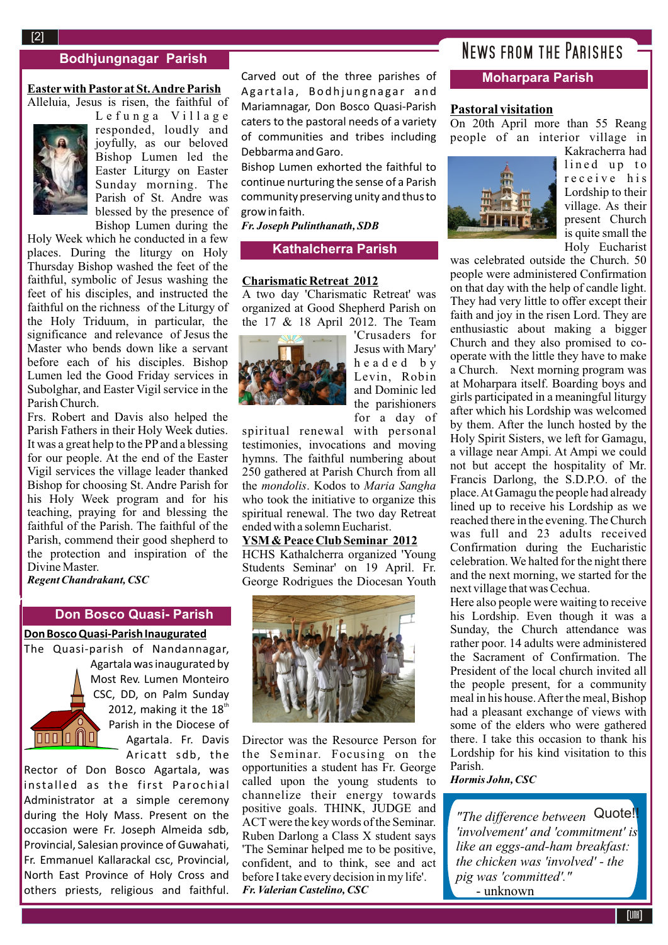## **Bodhjungnagar Parish**

#### **Easterwith Pastor at St. Andre Parish**  Alleluia, Jesus is risen, the faithful of



Lefunga Village responded, loudly and joyfully, as our beloved Bishop Lumen led the Easter Liturgy on Easter Sunday morning. The Parish of St. Andre was blessed by the presence of Bishop Lumen during the

Holy Week which he conducted in a few places. During the liturgy on Holy Thursday Bishop washed the feet of the faithful, symbolic of Jesus washing the feet of his disciples, and instructed the faithful on the richness of the Liturgy of the Holy Triduum, in particular, the significance and relevance of Jesus the Master who bends down like a servant before each of his disciples. Bishop Lumen led the Good Friday services in Subolghar, and Easter Vigil service in the Parish Church.

Frs. Robert and Davis also helped the Parish Fathers in their Holy Week duties. It was a great help to the PPand a blessing for our people. At the end of the Easter Vigil services the village leader thanked Bishop for choosing St. Andre Parish for his Holy Week program and for his teaching, praying for and blessing the faithful of the Parish. The faithful of the Parish, commend their good shepherd to the protection and inspiration of the Divine Master.

*Regent Chandrakant, CSC*

 $\mathbb{R}^2$ 

#### **Don Bosco Quasi- Parish**

#### **Don Bosco Quasi-Parish Inaugurated**

The Quasi-parish of Nandannagar, Agartala was inaugurated by Most Rev. Lumen Monteiro CSC, DD, on Palm Sunday 2012, making it the  $18<sup>th</sup>$ Parish in the Diocese of  $\overline{000}0$   $\overline{0}$   $\overline{0}$ Agartala. Fr. Davis Aricatt sdb, the

Rector of Don Bosco Agartala, was installed as the first Parochial Administrator at a simple ceremony during the Holy Mass. Present on the occasion were Fr. Joseph Almeida sdb, Provincial, Salesian province of Guwahati, Fr. Emmanuel Kallarackal csc, Provincial, North East Province of Holy Cross and others priests, religious and faithful.

Carved out of the three parishes of Agartala, Bodhjungnagar and Mariamnagar, Don Bosco Quasi-Parish caters to the pastoral needs of a variety of communities and tribes including Debbarma and Garo.

Bishop Lumen exhorted the faithful to continue nurturing the sense of a Parish community preserving unity and thus to grow in faith.

*Fr. Joseph Pulinthanath, SDB*

#### **Kathalcherra Parish**

#### **Charismatic Retreat 2012**

A two day 'Charismatic Retreat' was organized at Good Shepherd Parish on the 17 & 18 April 2012. The Team



'Crusaders for Jesus with Mary' h e a d e d b y Levin, Robin and Dominic led the parishioners for a day of

spiritual renewal with personal testimonies, invocations and moving hymns. The faithful numbering about 250 gathered at Parish Church from all the *mondolis*. Kodos to *Maria Sangha* who took the initiative to organize this spiritual renewal. The two day Retreat ended with a solemn Eucharist.

#### **YSM & Peace Club Seminar 2012**

**Ambassa Parish** George Rodrigues the Diocesan Youth HCHS Kathalcherra organized 'Young Students Seminar' on 19 April. Fr.



Director was the Resource Person for the Seminar. Focusing on the opportunities a student has Fr. George called upon the young students to channelize their energy towards positive goals. THINK, JUDGE and ACTwere the key words of the Seminar. Ruben Darlong a Class X student says 'The Seminar helped me to be positive, confident, and to think, see and act before I take every decision in my life'. *Fr. Valerian Castelino, CSC*

## News from the Parishes

#### **Moharpara Parish**

#### **Pastoral visitation**

On 20th April more than 55 Reang people of an interior village in



Kakracherra had lined up to r e c e i v e h i s Lordship to their village. As their present Church is quite small the Holy Eucharist

was celebrated outside the Church. 50 people were administered Confirmation on that day with the help of candle light. They had very little to offer except their faith and joy in the risen Lord. They are enthusiastic about making a bigger Church and they also promised to cooperate with the little they have to make a Church. Next morning program was at Moharpara itself. Boarding boys and girls participated in a meaningful liturgy after which his Lordship was welcomed by them. After the lunch hosted by the Holy Spirit Sisters, we left for Gamagu, a village near Ampi. At Ampi we could not but accept the hospitality of Mr. Francis Darlong, the S.D.P.O. of the place. At Gamagu the people had already lined up to receive his Lordship as we reached there in the evening. The Church was full and 23 adults received Confirmation during the Eucharistic celebration. We halted for the night there and the next morning, we started for the next village that was Cechua.

Here also people were waiting to receive his Lordship. Even though it was a Sunday, the Church attendance was rather poor. 14 adults were administered the Sacrament of Confirmation. The President of the local church invited all the people present, for a community meal in his house. After the meal, Bishop had a pleasant exchange of views with some of the elders who were gathered there. I take this occasion to thank his Lordship for his kind visitation to this Parish.

*Hormis John, CSC*

*"The difference between*  Quote!!*'involvement' and 'commitment' is like an eggs-and-ham breakfast: the chicken was 'involved' - the pig was 'committed'."*  - unknown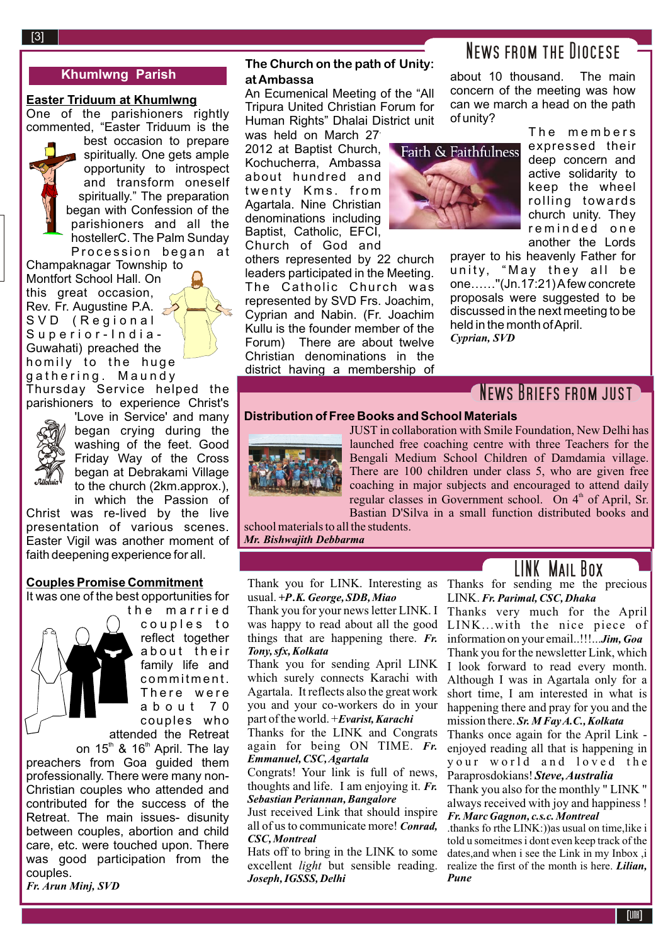## **Khumlwng Parish**

## **Easter Triduum at Khumlwng**

One of the parishioners rightly commented, "Easter Triduum is the

best occasion to prepare spiritually. One gets ample opportunity to introspect and transform oneself spiritually." The preparation began with Confession of the parishioners and all the hostellerC. The Palm Sunday Procession began at

Champaknagar Township to Montfort School Hall. On this great occasion, Rev. Fr. Augustine P.A. SVD (Regional Superior-India-Guwahati) preached the homily to the huge gathering. Maundy Thursday Service helped the

parishioners to experience Christ's



'Love in Service' and many began crying during the washing of the feet. Good Friday Way of the Cross began at Debrakami Village to the church (2km.approx.), in which the Passion of

Christ was re-lived by the live presentation of various scenes. Easter Vigil was another moment of faith deepening experience for all.

#### **Couples Promise Commitment**

It was one of the best opportunities for



couples to reflect together about their family life and commitment. There were a b o u t 7 0 couples who attended the Retreat

the married

on  $15<sup>th</sup>$  &  $16<sup>th</sup>$  April. The lay preachers from Goa guided them professionally. There were many non-Christian couples who attended and contributed for the success of the Retreat. The main issues- disunity between couples, abortion and child care, etc. were touched upon. There was good participation from the couples.

*Fr. Arun Minj, SVD*

### **The Church on the path of Unity: at Ambassa**

An Ecumenical Meeting of the "All Tripura United Christian Forum for Human Rights" Dhalai District unit was held on March 27

2012 at Baptist Church, Kochucherra, Ambassa about hundred and twenty Kms. from Agartala. Nine Christian denominations including Baptist, Catholic, EFCI, Church of God and

others represented by 22 church leaders participated in the Meeting. The Catholic Church was represented by SVD Frs. Joachim, Cyprian and Nabin. (Fr. Joachim Kullu is the founder member of the Forum) There are about twelve Christian denominations in the district having a membership of

# News from the Diocese

about 10 thousand. The main concern of the meeting was how can we march a head on the path of unity?



The members expressed their deep concern and active solidarity to keep the wheel rolling towards church unity. They reminded one another the Lords

prayer to his heavenly Father for unity, "May they all be one……''(Jn.17:21) Afew concrete proposals were suggested to be discussed in the next meeting to be held in the month of April. *Cyprian, SVD*

# NEWS BRIEFS FROM JUST

## **Distribution of Free Books and School Materials**



JUST in collaboration with Smile Foundation, New Delhi has launched free coaching centre with three Teachers for the Bengali Medium School Children of Damdamia village. There are 100 children under class 5, who are given free coaching in major subjects and encouraged to attend daily regular classes in Government school. On  $4<sup>th</sup>$  of April, Sr. Bastian D'Silva in a small function distributed books and

school materials to all the students. *Mr. Bishwajith Debbarma*

## LINK Mail Box

Thank you for LINK. Interesting as Thanks for sending me the precious usual. *+P.K. George, SDB, Miao*

Thank you for your news letter LINK. I things that are happening there. *Fr. Tony, sfx, Kolkata*

Thank you for sending April LINK which surely connects Karachi with Agartala. It reflects also the great work you and your co-workers do in your part of the world. +*Evarist, Karachi*

Thanks for the LINK and Congrats again for being ON TIME. *Fr. Emmanuel, CSC, Agartala*

Congrats! Your link is full of news, thoughts and life. I am enjoying it. *Fr. Sebastian Periannan, Bangalore*

Just received Link that should inspire all of us to communicate more! *Conrad, CSC, Montreal*

Hats off to bring in the LINK to some excellent *light* but sensible reading. *Joseph, IGSSS, Delhi*

LINK. *Fr. Parimal, CSC, Dhaka* Thanks very much for the April

was happy to read about all the good LINK...with the nice piece of information on your email..!!!...*Jim, Goa* Thank you for the newsletter Link, which

I look forward to read every month. Although I was in Agartala only for a short time, I am interested in what is happening there and pray for you and the mission there. *Sr. M Fay A.C., Kolkata*

Thanks once again for the April Link enjoyed reading all that is happening in your world and loved the Paraprosdokians! *Steve, Australia*

Thank you also for the monthly " LINK " always received with joy and happiness ! *Fr. Marc Gagnon, c.s.c. Montreal*

.thanks fo rthe LINK:))as usual on time,like i told u someitmes i dont even keep track of the dates,and when i see the Link in my Inbox ,i realize the first of the month is here. *Lilian, Pune*